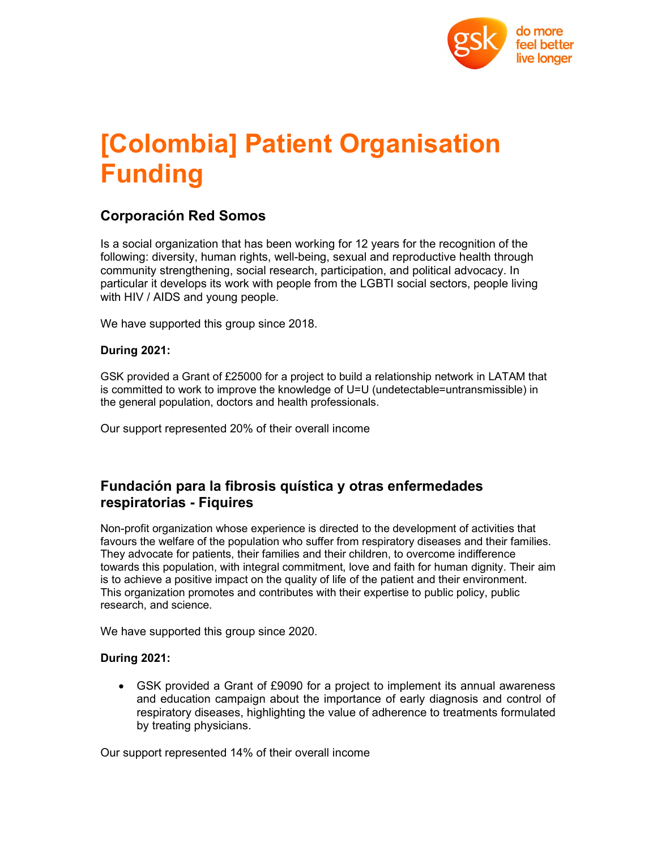

# [Colombia] Patient Organisation Funding

### Corporación Red Somos

Is a social organization that has been working for 12 years for the recognition of the following: diversity, human rights, well-being, sexual and reproductive health through community strengthening, social research, participation, and political advocacy. In particular it develops its work with people from the LGBTI social sectors, people living with HIV / AIDS and young people.

We have supported this group since 2018.

#### During 2021:

GSK provided a Grant of £25000 for a project to build a relationship network in LATAM that is committed to work to improve the knowledge of U=U (undetectable=untransmissible) in the general population, doctors and health professionals.

Our support represented 20% of their overall income

## Fundación para la fibrosis quística y otras enfermedades respiratorias - Fiquires

Non-profit organization whose experience is directed to the development of activities that favours the welfare of the population who suffer from respiratory diseases and their families. They advocate for patients, their families and their children, to overcome indifference towards this population, with integral commitment, love and faith for human dignity. Their aim is to achieve a positive impact on the quality of life of the patient and their environment. This organization promotes and contributes with their expertise to public policy, public research, and science.

We have supported this group since 2020.

#### During 2021:

 GSK provided a Grant of £9090 for a project to implement its annual awareness and education campaign about the importance of early diagnosis and control of respiratory diseases, highlighting the value of adherence to treatments formulated by treating physicians.

Our support represented 14% of their overall income